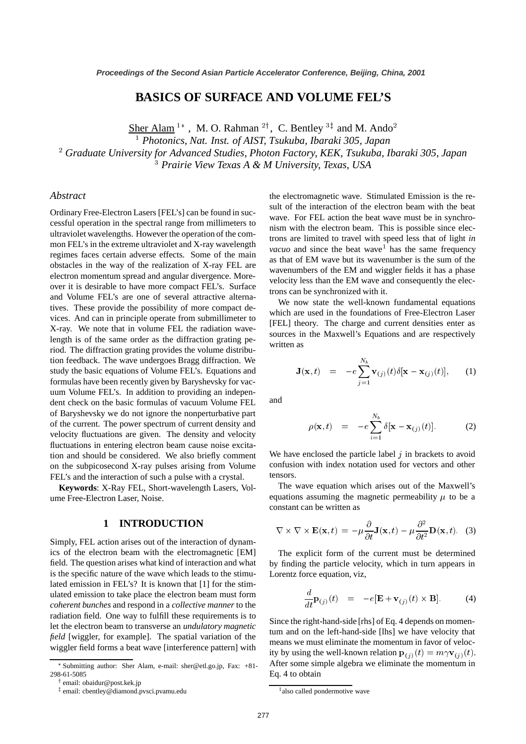# **BASICS OF SURFACE AND VOLUME FEL'S**

Sher Alam  $1^*$ , M. O. Rahman  $2^{\dagger}$ , C. Bentley  $3^{\dagger}$  and M. Ando<sup>2</sup>

*Photonics, Nat. Inst. of AIST, Tsukuba, Ibaraki 305, Japan*

<sup>2</sup> Graduate University for Advanced Studies, Photon Factory, KEK, Tsukuba, Ibaraki 305, Japan

*Prairie View Texas A & M University, Texas, USA*

#### *Abstract*

Ordinary Free-Electron Lasers [FEL's] can be found in successful operation in the spectral range from millimeters to ultraviolet wavelengths. However the operation of the common FEL's in the extreme ultraviolet and X-ray wavelength regimes faces certain adverse effects. Some of the main obstacles in the way of the realization of X-ray FEL are electron momentum spread and angular divergence. Moreover it is desirable to have more compact FEL's. Surface and Volume FEL's are one of several attractive alternatives. These provide the possibility of more compact devices. And can in principle operate from submillimeter to X-ray. We note that in volume FEL the radiation wavelength is of the same order as the diffraction grating period. The diffraction grating provides the volume distribution feedback. The wave undergoes Bragg diffraction. We study the basic equations of Volume FEL's. Equations and formulas have been recently given by Baryshevsky for vacuum Volume FEL's. In addition to providing an independent check on the basic formulas of vacuum Volume FEL of Baryshevsky we do not ignore the nonperturbative part of the current. The power spectrum of current density and velocity fluctuations are given. The density and velocity fluctuations in entering electron beam cause noise excitation and should be considered. We also briefly comment on the subpicosecond X-ray pulses arising from Volume FEL's and the interaction of such a pulse with a crystal.

**Keywords**: X-Ray FEL, Short-wavelength Lasers, Volume Free-Electron Laser, Noise.

#### **1 INTRODUCTION**

Simply, FEL action arises out of the interaction of dynamics of the electron beam with the electromagnetic [EM] field. The question arises what kind of interaction and what is the specific nature of the wave which leads to the stimulated emission in FEL's? It is known that [1] for the stimulated emission to take place the electron beam must form *coherent bunches* and respond in a *collective manner* to the radiation field. One way to fulfill these requirements is to let the electron beam to transverse an *undulatory magnetic field* [wiggler, for example]. The spatial variation of the wiggler field forms a beat wave [interference pattern] with the electromagnetic wave. Stimulated Emission is the result of the interaction of the electron beam with the beat wave. For FEL action the beat wave must be in synchronism with the electron beam. This is possible since electrons are limited to travel with speed less that of light *in vacuo* and since the beat wave<sup>1</sup> has the same frequency as that of EM wave but its wavenumber is the sum of the wavenumbers of the EM and wiggler fields it has a phase velocity less than the EM wave and consequently the electrons can be synchronized with it.

We now state the well-known fundamental equations which are used in the foundations of Free-Electron Laser [FEL] theory. The charge and current densities enter as sources in the Maxwell's Equations and are respectively written as

$$
\mathbf{J}(\mathbf{x},t) = -e \sum_{j=1}^{N_b} \mathbf{v}_{(j)}(t) \delta[\mathbf{x} - \mathbf{x}_{(j)}(t)], \qquad (1)
$$

and

$$
\rho(\mathbf{x},t) = -e \sum_{i=1}^{N_b} \delta[\mathbf{x} - \mathbf{x}_{(j)}(t)]. \tag{2}
$$

We have enclosed the particle label  $j$  in brackets to avoid confusion with index notation used for vectors and other tensors.

The wave equation which arises out of the Maxwell's equations assuming the magnetic permeability  $\mu$  to be a constant can be written as

$$
\nabla \times \nabla \times \mathbf{E}(\mathbf{x},t) = -\mu \frac{\partial}{\partial t} \mathbf{J}(\mathbf{x},t) - \mu \frac{\partial^2}{\partial t^2} \mathbf{D}(\mathbf{x},t). \quad (3)
$$

The explicit form of the current must be determined by finding the particle velocity, which in turn appears in Lorentz force equation, viz,

$$
\frac{d}{dt}\mathbf{p}_{(j)}(t) = -e[\mathbf{E} + \mathbf{v}_{(j)}(t) \times \mathbf{B}].
$$
 (4)

Since the right-hand-side [rhs] of Eq. 4 depends on momentum and on the left-hand-side [lhs] we have velocity that means we must eliminate the momentum in favor of velocity by using the well-known relation  ${\bf p}_{(i)}(t) = m \gamma {\bf v}_{(i)}(t)$ . After some simple algebra we eliminate the momentum in Eq. 4 to obtain

Submitting author: Sher Alam, e-mail: sher@etl.go.jp, Fax: +81- 298-61-5085

<sup>-</sup> email: obaidur@post.kek.jp

email: cbentley@diamond.pvsci.pvamu.edu

<sup>&</sup>lt;sup>1</sup>also called pondermotive wave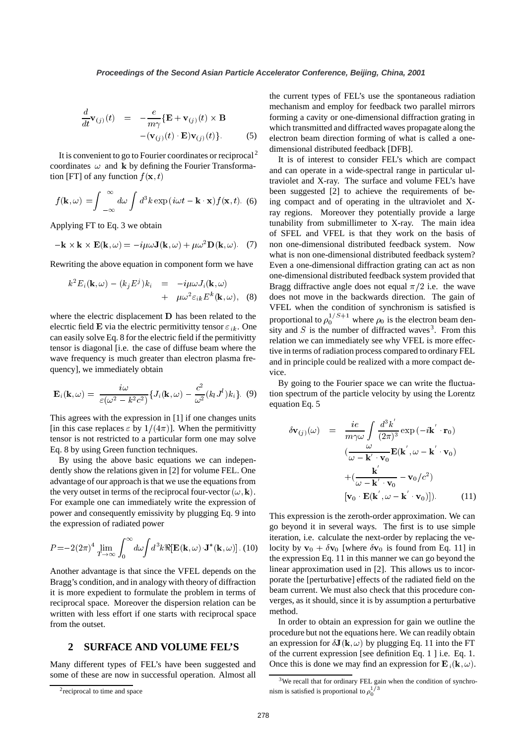$$
\frac{d}{dt}\mathbf{v}_{(j)}(t) = -\frac{e}{m\gamma}\{\mathbf{E} + \mathbf{v}_{(j)}(t) \times \mathbf{B} - (\mathbf{v}_{(j)}(t) \cdot \mathbf{E})\mathbf{v}_{(j)}(t)\}.
$$
\n(5)

It is convenient to go to Fourier coordinates or reciprocal <sup>2</sup> coordinates  $\omega$  and **k** by defining the Fourier Transformation [FT] of any function  $f(\mathbf{x}, t)$ 

$$
f(\mathbf{k}, \omega) = \int_{-\infty}^{\infty} d\omega \int d^3k \exp(i\omega t - \mathbf{k} \cdot \mathbf{x}) f(\mathbf{x}, t). \tag{6}
$$

Applying FT to Eq. 3 we obtain

$$
-\mathbf{k} \times \mathbf{k} \times \mathbf{E}(\mathbf{k}, \omega) = -i \mu \omega \mathbf{J}(\mathbf{k}, \omega) + \mu \omega^2 \mathbf{D}(\mathbf{k}, \omega). \tag{7}
$$

Rewriting the above equation in component form we have

$$
k^{2}E_{i}(\mathbf{k}, \omega) - (k_{j}E^{j})k_{i} = -i\mu\omega J_{i}(\mathbf{k}, \omega) + \mu\omega^{2}\varepsilon_{ik}E^{k}(\mathbf{k}, \omega),
$$
 (8)

where the electric displacement  **has been related to the** elecrtic field **E** via the electric permitivitty tensor  $\varepsilon_{ik}$ . One can easily solve Eq. 8 for the electric field if the permitivitty tensor is diagonal [i.e. the case of diffuse beam where the wave frequency is much greater than electron plasma frequency], we immediately obtain

$$
\mathbf{E}_i(\mathbf{k},\omega) = \frac{i\omega}{\varepsilon(\omega^2 - k^2 c^2)} \{ J_i(\mathbf{k},\omega) - \frac{c^2}{\omega^2} (k_l J^l) k_i \}.
$$
 (9)

This agrees with the expression in [1] if one changes units [in this case replaces  $\varepsilon$  by  $1/(4\pi)$ ]. When the permitivitty tensor is not restricted to a particular form one may solve Eq. 8 by using Green function techniques.

By using the above basic equations we can independently show the relations given in [2] for volume FEL. One advantage of our approach is that we use the equations from the very outset in terms of the reciprocal four-vector  $(\omega, \mathbf{k})$ . For example one can immediately write the expression of power and consequently emissivity by plugging Eq. 9 into the expression of radiated power

$$
P = -2(2\pi)^4 \lim_{T \to \infty} \int_0^\infty d\omega \int d^3k \Re[\mathbf{E}(\mathbf{k}, \omega) \cdot \mathbf{J}^*(\mathbf{k}, \omega)].
$$
 (10)

Another advantage is that since the VFEL depends on the Bragg's condition, and in analogy with theory of diffraction it is more expedient to formulate the problem in terms of reciprocal space. Moreover the dispersion relation can be written with less effort if one starts with reciprocal space from the outset.

### **2 SURFACE AND VOLUME FEL'S**

Many different types of FEL's have been suggested and some of these are now in successful operation. Almost all

 $\times$  **B** forming a cavity or one-dimensional diffraction grating in the current types of FEL's use the spontaneous radiation mechanism and employ for feedback two parallel mirrors which transmitted and diffracted waves propagate along the electron beam direction forming of what is called a onedimensional distributed feedback [DFB].

> It is of interest to consider FEL's which are compact and can operate in a wide-spectral range in particular ultraviolet and X-ray. The surface and volume FEL's have been suggested [2] to achieve the requirements of being compact and of operating in the ultraviolet and Xray regions. Moreover they potentially provide a large tunability from submillimeter to X-ray. The main idea of SFEL and VFEL is that they work on the basis of non one-dimensional distributed feedback system. Now what is non one-dimensional distributed feedback system? Even a one-dimensional diffraction grating can act as non one-dimensional distributed feedback system provided that Bragg diffractive angle does not equal  $\pi/2$  i.e. the wave does not move in the backwards direction. The gain of VFEL when the condition of synchronism is satisfied is proportional to  $\rho_0^{1/5+1}$  where  $\rho_0$  is the electron beam density and  $S$  is the number of diffracted waves<sup>3</sup>. From this relation we can immediately see why VFEL is more effective in terms of radiation process compared to ordinary FEL and in principle could be realized with a more compact device.

> By going to the Fourier space we can write the fluctuation spectrum of the particle velocity by using the Lorentz equation Eq. 5

$$
\delta \mathbf{v}_{(j)}(\omega) = \frac{ie}{m\gamma\omega} \int \frac{d^3k'}{(2\pi)^3} \exp(-i\mathbf{k}' \cdot \mathbf{r}_0)
$$

$$
(\frac{\omega}{\omega - \mathbf{k}' \cdot \mathbf{v}_0} \mathbf{E}(\mathbf{k}', \omega - \mathbf{k}' \cdot \mathbf{v}_0)
$$

$$
+(\frac{\mathbf{k}'}{\omega - \mathbf{k}' \cdot \mathbf{v}_0} - \mathbf{v}_0/c^2)
$$

$$
[\mathbf{v}_0 \cdot \mathbf{E}(\mathbf{k}', \omega - \mathbf{k}' \cdot \mathbf{v}_0)]). \tag{11}
$$

This expression is the zeroth-order approximation. We can go beyond it in several ways. The first is to use simple iteration, i.e. calculate the next-order by replacing the velocity by  $\mathbf{v}_0 + \delta \mathbf{v}_0$  [where  $\delta \mathbf{v}_0$  is found from Eq. 11] in the expression Eq. 11 in this manner we can go beyond the linear approximation used in [2]. This allows us to incorporate the [perturbative] effects of the radiated field on the beam current. We must also check that this procedure converges, as it should, since it is by assumption a perturbative method.

In order to obtain an expression for gain we outline the procedure but not the equations here. We can readily obtain an expression for  $\delta J(k,\omega)$  by plugging Eq. 11 into the FT of the current expression [see definition Eq. 1 ] i.e. Eq. 1. Once this is done we may find an expression for  $\mathbf{E}_i(\mathbf{k}, \omega)$ .

<sup>2</sup>reciprocal to time and space

<sup>&</sup>lt;sup>3</sup>We recall that for ordinary FEL gain when the condition of synchronism is satisfied is proportional to  $\rho_0^{\prime\prime}$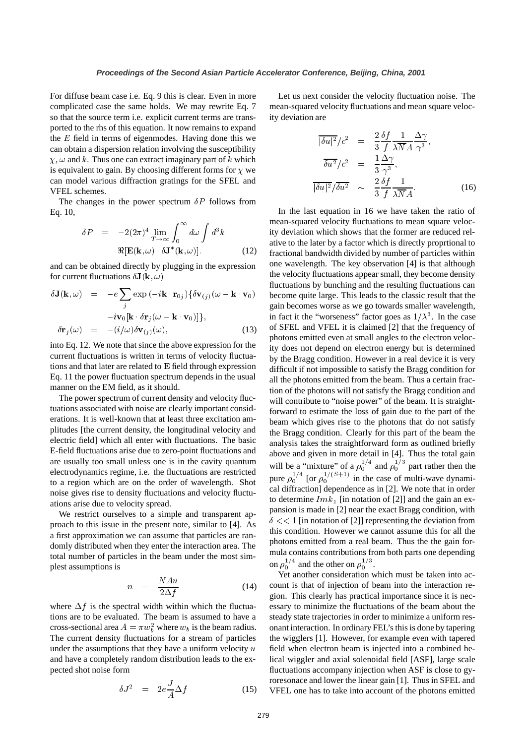For diffuse beam case i.e. Eq. 9 this is clear. Even in more complicated case the same holds. We may rewrite Eq. 7 so that the source term i.e. explicit current terms are transported to the rhs of this equation. It now remains to expand the  $E$  field in terms of eigenmodes. Having done this we can obtain a dispersion relation involving the susceptibility  $\chi$ ,  $\omega$  and k. Thus one can extract imaginary part of k which is equivalent to gain. By choosing different forms for  $\chi$  we can model various diffraction gratings for the SFEL and VFEL schemes.

The changes in the power spectrum  $\delta P$  follows from Eq. 10,

$$
\delta P = -2(2\pi)^4 \lim_{T \to \infty} \int_0^\infty d\omega \int d^3k
$$

$$
\Re[\mathbf{E}(\mathbf{k}, \omega) \cdot \delta \mathbf{J}^*(\mathbf{k}, \omega)]. \tag{12}
$$

and can be obtained directly by plugging in the expression for current fluctuations  $\delta J(k,\omega)$ 

$$
\delta \mathbf{J}(\mathbf{k}, \omega) = -e \sum_{j} \exp(-i\mathbf{k} \cdot \mathbf{r}_{0j}) \{ \delta \mathbf{v}_{(j)}(\omega - \mathbf{k} \cdot \mathbf{v}_{0})
$$

$$
-i \mathbf{v}_{0} [\mathbf{k} \cdot \delta \mathbf{r}_{j}(\omega - \mathbf{k} \cdot \mathbf{v}_{0})] \},
$$

$$
\delta \mathbf{r}_{j}(\omega) = -(i/\omega) \delta \mathbf{v}_{(j)}(\omega), \qquad (13)
$$

into Eq. 12. We note that since the above expression for the current fluctuations is written in terms of velocity fluctuations and that later are related to  $E$  field through expression Eq. 11 the power fluctuation spectrum depends in the usual manner on the EM field, as it should.

The power spectrum of current density and velocity fluctuations associated with noise are clearly important considerations. It is well-known that at least three excitation amplitudes [the current density, the longitudinal velocity and electric field] which all enter with fluctuations. The basic E-field fluctuations arise due to zero-point fluctuations and are usually too small unless one is in the cavity quantum electrodynamics regime, i.e. the fluctuations are restricted to a region which are on the order of wavelength. Shot noise gives rise to density fluctuations and velocity fluctuations arise due to velocity spread.

We restrict ourselves to a simple and transparent approach to this issue in the present note, similar to [4]. As a first approximation we can assume that particles are randomly distributed when they enter the interaction area. The total number of particles in the beam under the most simplest assumptions is

$$
n = \frac{NAu}{2\Delta f} \tag{14}
$$

where  $\Delta f$  is the spectral width within which the fluctuations are to be evaluated. The beam is assumed to have a cross-sectional area  $A = \pi w_b^2$  where  $w_b$  is the beam radius. The current density fluctuations for a stream of particles under the assumptions that they have a uniform velocity  $u$ and have a completely random distribution leads to the expected shot noise form

$$
\delta J^2 = 2e \frac{J}{A} \Delta f \tag{15}
$$

Let us next consider the velocity fluctuation noise. The mean-squared velocity fluctuations and mean square velocity deviation are

$$
\overline{\left|\delta u\right|^2}/c^2 = \frac{2}{3} \frac{\delta f}{f} \frac{1}{\lambda \overline{N}A} \frac{\Delta \gamma}{\gamma^3},
$$

$$
\overline{\delta u^2}/c^2 = \frac{1}{3} \frac{\Delta \gamma}{\gamma^3},
$$

$$
\overline{\left|\delta u\right|^2}/\overline{\delta u^2} \sim \frac{2}{3} \frac{\delta f}{f} \frac{1}{\lambda \overline{N}A}.
$$
(16)

 $\phi$  ( $\omega$  – **k** · **v**<sub>0</sub>) become quite large. This leads to the classic result that the In the last equation in 16 we have taken the ratio of mean-squared velocity fluctuations to mean square velocity deviation which shows that the former are reduced relative to the later by a factor which is directly proprtional to fractional bandwidth divided by number of particles within one wavelength. The key observation [4] is that although the velocity fluctuations appear small, they become density fluctuations by bunching and the resulting fluctuations can gain becomes worse as we go towards smaller wavelength, in fact it the "worseness" factor goes as  $1/\lambda^3$ . In the case of SFEL and VFEL it is claimed [2] that the frequency of photons emitted even at small angles to the electron velocity does not depend on electron energy but is determined by the Bragg condition. However in a real device it is very difficult if not impossible to satisfy the Bragg condition for all the photons emitted from the beam. Thus a certain fraction of the photons will not satisfy the Bragg condition and will contribute to "noise power" of the beam. It is straightforward to estimate the loss of gain due to the part of the beam which gives rise to the photons that do not satisfy the Bragg condition. Clearly for this part of the beam the analysis takes the straightforward form as outlined briefly above and given in more detail in [4]. Thus the total gain will be a "mixture" of a  $\rho_0^{1/4}$  and  $\rho_0^{1/3}$  part rather then the pure  $\rho_0^{1/4}$  [or  $\rho_0^{1/(3+1)}$  in the case of multi-wave dynamical diffraction] dependence as in [2]. We note that in order to determine  $Im k_z$  [in notation of [2]] and the gain an expansion is made in [2] near the exact Bragg condition, with  $\delta \ll 1$  [in notation of [2]] representing the deviation from this condition. However we cannot assume this for all the photons emitted from a real beam. Thus the the gain formula contains contributions from both parts one depending on  $\rho_0^{1/4}$  and the other on  $\rho_0^{1/5}$ .

> Yet another consideration which must be taken into account is that of injection of beam into the interaction region. This clearly has practical importance since it is necessary to minimize the fluctuations of the beam about the steady state trajectories in order to minimize a uniform resonant interaction. In ordinary FEL's this is done by tapering the wigglers [1]. However, for example even with tapered field when electron beam is injected into a combined helical wiggler and axial solenoidal field [ASF], large scale fluctuations accompany injection when ASF is close to gyroresonace and lower the linear gain [1]. Thus in SFEL and VFEL one has to take into account of the photons emitted